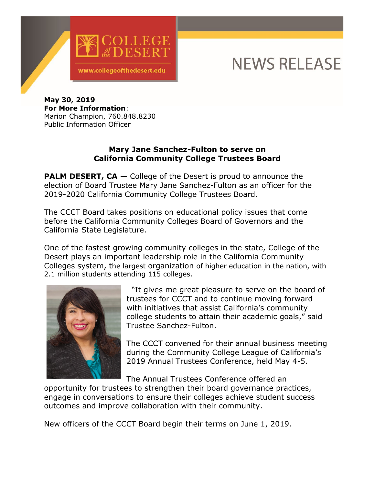

## **NEWS RELEASE**

**May 30, 2019 For More Information**: Marion Champion, 760.848.8230 Public Information Officer

## **Mary Jane Sanchez-Fulton to serve on California Community College Trustees Board**

**PALM DESERT, CA –** College of the Desert is proud to announce the election of Board Trustee Mary Jane Sanchez-Fulton as an officer for the 2019-2020 California Community College Trustees Board.

The CCCT Board takes positions on educational policy issues that come before the California Community Colleges Board of Governors and the California State Legislature.

One of the fastest growing community colleges in the state, College of the Desert plays an important leadership role in the California Community Colleges system, the largest organization of higher education in the nation, with 2.1 million students attending 115 colleges.



"It gives me great pleasure to serve on the board of trustees for CCCT and to continue moving forward with initiatives that assist California's community college students to attain their academic goals," said Trustee Sanchez-Fulton.

The CCCT convened for their annual business meeting during the Community College League of California's 2019 Annual Trustees Conference, held May 4-5.

The Annual Trustees Conference offered an

opportunity for trustees to strengthen their board governance practices, engage in conversations to ensure their colleges achieve student success outcomes and improve collaboration with their community.

New officers of the CCCT Board begin their terms on June 1, 2019.